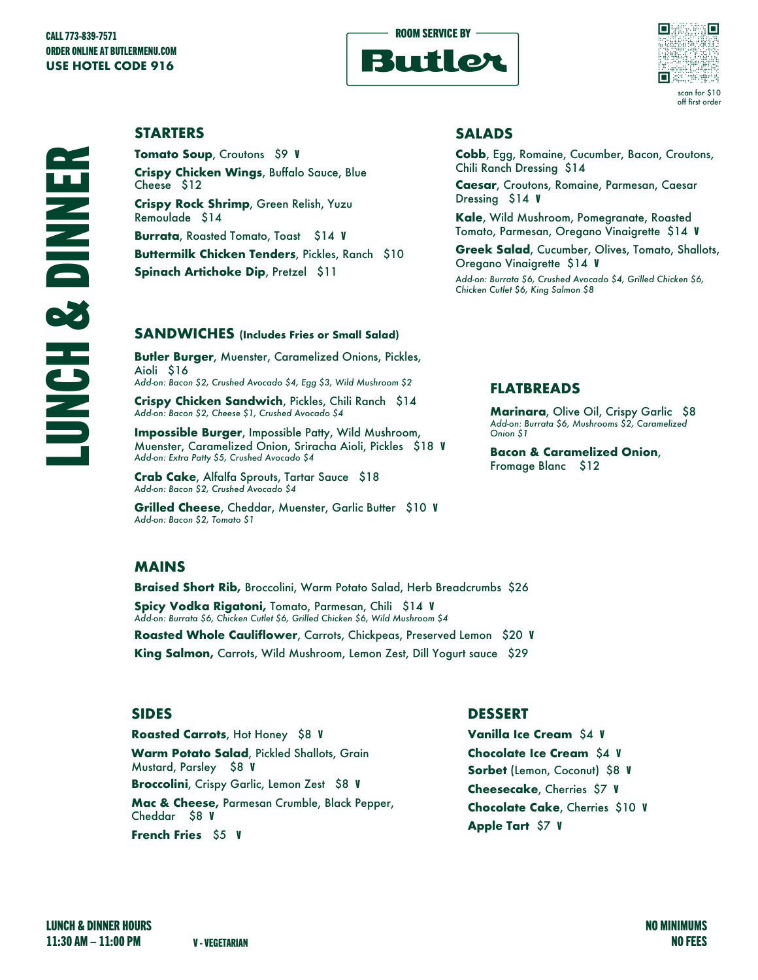



### **STARTERS**

**Tomato Soup**, Croutons \$9 V **Crispy Chicken Wings**, Buffalo Sauce, Blue Cheese \$12 **Crispy Rock Shrimp**, Green Relish, Yuzu Remoulade \$14 **Burrata**, Roasted Tomato, Toast \$14 V **Buttermilk Chicken Tenders**, Pickles, Ranch \$10 **Spinach Artichoke Dip**, Pretzel \$11

### **SANDWICHES (Includes Fries or Small Salad)**

**Butler Burger**, Muenster, Caramelized Onions, Pickles, Aioli \$16 *Add-on: Bacon \$2, Crushed Avocado \$4, Egg \$3, Wild Mushroom \$2*

**Crispy Chicken Sandwich**, Pickles, Chili Ranch \$14 *Add-on: Bacon \$2, Cheese \$1, Crushed Avocado \$4*

**Impossible Burger**, Impossible Patty, Wild Mushroom, Muenster, Caramelized Onion, Sriracha Aioli, Pickles \$18 V *Add-on: Extra Patty \$5, Crushed Avocado \$4*

**Crab Cake**, Alfalfa Sprouts, Tartar Sauce \$18 *Add-on: Bacon \$2, Crushed Avocado \$4*

**Grilled Cheese**, Cheddar, Muenster, Garlic Butter \$10 V *Add-on: Bacon \$2, Tomato \$1*

### **SALADS**

**Cobb**, Egg, Romaine, Cucumber, Bacon, Croutons, Chili Ranch Dressing \$14

**Caesar**, Croutons, Romaine, Parmesan, Caesar Dressing \$14 V

**Kale**, Wild Mushroom, Pomegranate, Roasted Tomato, Parmesan, Oregano Vinaigrette \$14 V

**Greek Salad**, Cucumber, Olives, Tomato, Shallots, Oregano Vinaigrette \$14 V

*Add-on: Burrata \$6, Crushed Avocado \$4, Grilled Chicken \$6, Chicken Cutlet \$6, King Salmon \$8*

### **FLATBREADS**

**Marinara**, Olive Oil, Crispy Garlic \$8 *Add-on: Burrata \$6, Mushrooms \$2, Caramelized Onion \$1*

**Bacon & Caramelized Onion**, Fromage Blanc \$12

### **MAINS**

**Braised Short Rib,** Broccolini, Warm Potato Salad, Herb Breadcrumbs \$26 **Spicy Vodka Rigatoni,** Tomato, Parmesan, Chili \$14 V *Add-on: Burrata \$6, Chicken Cutlet \$6, Grilled Chicken \$6, Wild Mushroom \$4*

**Roasted Whole Cauliflower**, Carrots, Chickpeas, Preserved Lemon \$20 V **King Salmon,** Carrots, Wild Mushroom, Lemon Zest, Dill Yogurt sauce \$29

### **SIDES**

**Roasted Carrots**, Hot Honey \$8 V **Warm Potato Salad**, Pickled Shallots, Grain Mustard, Parsley \$8 V **Broccolini**, Crispy Garlic, Lemon Zest \$8 V **Mac & Cheese,** Parmesan Crumble, Black Pepper, Cheddar \$8 V **French Fries** \$5 V

**DESSERT**

**Vanilla Ice Cream** \$4 V **Chocolate Ice Cream** \$4 V **Sorbet** (Lemon, Coconut) \$8 V **Cheesecake**, Cherries \$7 V **Chocolate Cake**, Cherries \$10 V **Apple Tart** \$7 V